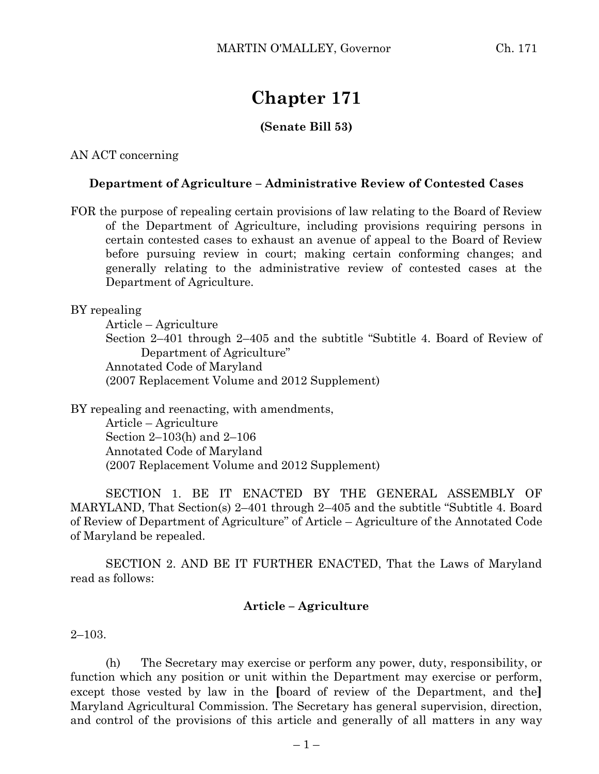# **Chapter 171**

## **(Senate Bill 53)**

AN ACT concerning

### **Department of Agriculture – Administrative Review of Contested Cases**

FOR the purpose of repealing certain provisions of law relating to the Board of Review of the Department of Agriculture, including provisions requiring persons in certain contested cases to exhaust an avenue of appeal to the Board of Review before pursuing review in court; making certain conforming changes; and generally relating to the administrative review of contested cases at the Department of Agriculture.

BY repealing

Article – Agriculture Section 2–401 through 2–405 and the subtitle "Subtitle 4. Board of Review of Department of Agriculture" Annotated Code of Maryland (2007 Replacement Volume and 2012 Supplement)

BY repealing and reenacting, with amendments, Article – Agriculture Section 2–103(h) and 2–106 Annotated Code of Maryland (2007 Replacement Volume and 2012 Supplement)

SECTION 1. BE IT ENACTED BY THE GENERAL ASSEMBLY OF MARYLAND, That Section(s) 2–401 through 2–405 and the subtitle "Subtitle 4. Board of Review of Department of Agriculture" of Article – Agriculture of the Annotated Code of Maryland be repealed.

SECTION 2. AND BE IT FURTHER ENACTED, That the Laws of Maryland read as follows:

## **Article – Agriculture**

2–103.

(h) The Secretary may exercise or perform any power, duty, responsibility, or function which any position or unit within the Department may exercise or perform, except those vested by law in the **[**board of review of the Department, and the**]** Maryland Agricultural Commission. The Secretary has general supervision, direction, and control of the provisions of this article and generally of all matters in any way